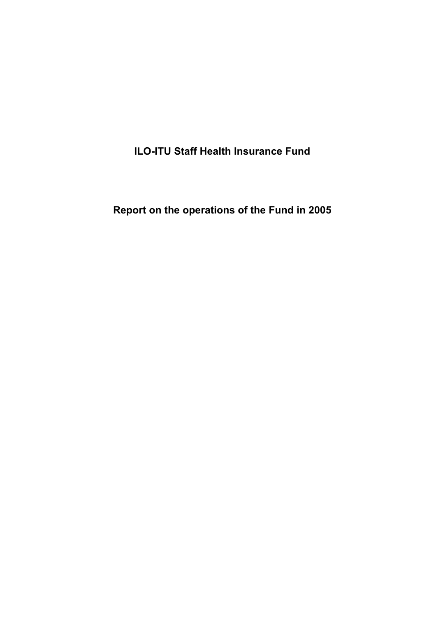**ILO-ITU Staff Health Insurance Fund** 

**Report on the operations of the Fund in 2005**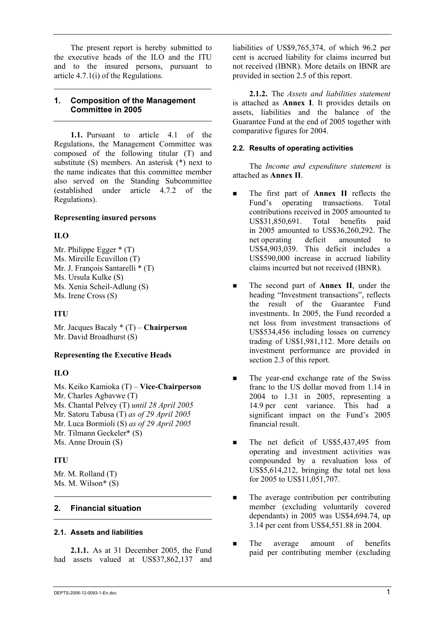The present report is hereby submitted to the executive heads of the ILO and the ITU and to the insured persons, pursuant to article 4.7.1(i) of the Regulations.

## **1. Composition of the Management Committee in 2005**

**1.1.** Pursuant to article 4.1 of the Regulations, the Management Committee was composed of the following titular (T) and substitute (S) members. An asterisk (\*) next to the name indicates that this committee member also served on the Standing Subcommittee (established under article 4.7.2 of the Regulations).

# **Representing insured persons**

# **ILO**

Mr. Philippe Egger \* (T) Ms. Mireille Ecuvillon (T) Mr. J. François Santarelli \* (T) Ms. Ursula Kulke (S) Ms. Xenia Scheil-Adlung (S) Ms. Irene Cross (S)

# **ITU**

Mr. Jacques Bacaly \* (T) – **Chairperson** Mr. David Broadhurst (S)

# **Representing the Executive Heads**

# **ILO**

Ms. Keiko Kamioka (T) – **Vice-Chairperson** Mr. Charles Agbavwe (T) Ms. Chantal Pelvey (T) *until 28 April 2005* Mr. Satoru Tabusa (T) *as of 29 April 2005*  Mr. Luca Bormioli (S) *as of 29 April 2005* Mr. Tilmann Geckeler\* (S) Ms. Anne Drouin (S)

# **ITU**

Mr. M. Rolland (T) Ms. M. Wilson $*$  (S)

# **2. Financial situation**

# **2.1. Assets and liabilities**

**2.1.1.** As at 31 December 2005, the Fund had assets valued at US\$37,862,137 and liabilities of US\$9,765,374, of which 96.2 per cent is accrued liability for claims incurred but not received (IBNR). More details on IBNR are provided in section 2.5 of this report.

**2.1.2.** The *Assets and liabilities statement* is attached as **Annex I**. It provides details on assets, liabilities and the balance of the Guarantee Fund at the end of 2005 together with comparative figures for 2004.

## **2.2. Results of operating activities**

The *Income and expenditure statement* is attached as **Annex II**.

- The first part of **Annex II** reflects the Fund's operating transactions. Total contributions received in 2005 amounted to US\$31,850,691. Total benefits paid in 2005 amounted to US\$36,260,292. The net operating deficit amounted to US\$4,903,039. This deficit includes a US\$590,000 increase in accrued liability claims incurred but not received (IBNR).
- The second part of **Annex II**, under the heading "Investment transactions", reflects the result of the Guarantee Fund investments. In 2005, the Fund recorded a net loss from investment transactions of US\$534,456 including losses on currency trading of US\$1,981,112. More details on investment performance are provided in section 2.3 of this report.
- The year-end exchange rate of the Swiss franc to the US dollar moved from 1.14 in 2004 to 1.31 in 2005, representing a 14.9 per cent variance. This had a significant impact on the Fund's 2005 financial result.
- The net deficit of US\$5,437,495 from operating and investment activities was compounded by a revaluation loss of US\$5,614,212, bringing the total net loss for 2005 to US\$11,051,707.
- The average contribution per contributing member (excluding voluntarily covered dependants) in 2005 was US\$4,694.74, up 3.14 per cent from US\$4,551.88 in 2004.
- The average amount of benefits paid per contributing member (excluding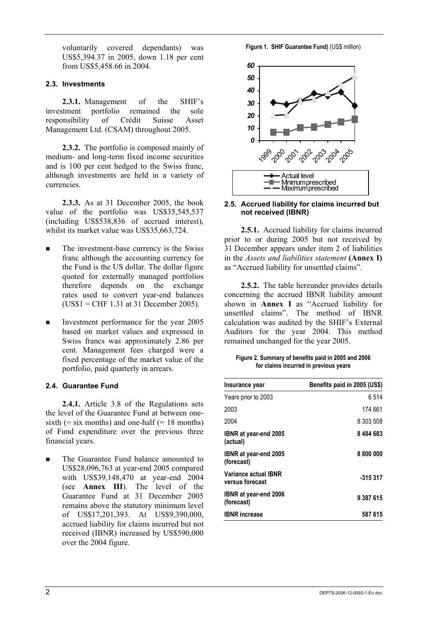voluntarily covered dependants) was US\$5,394.37 in 2005, down 1.18 per cent from US\$5,458.66 in 2004.

## **2.3. Investments**

**2.3.1.** Management of the SHIF's investment portfolio remained the sole responsibility of Crédit Suisse Asset Management Ltd. (CSAM) throughout 2005.

**2.3.2.** The portfolio is composed mainly of medium- and long-term fixed income securities and is 100 per cent hedged to the Swiss franc, although investments are held in a variety of currencies.

**2.3.3.** As at 31 December 2005, the book value of the portfolio was US\$35,545,537 (including US\$538,836 of accrued interest), whilst its market value was US\$35,663,724.

- The investment-base currency is the Swiss franc although the accounting currency for the Fund is the US dollar. The dollar figure quoted for externally managed portfolios therefore depends on the exchange rates used to convert year-end balances (US\$1 = CHF 1.31 at 31 December 2005).
- Investment performance for the year 2005 based on market values and expressed in Swiss francs was approximately 2.86 per cent. Management fees charged were a fixed percentage of the market value of the portfolio, paid quarterly in arrears.

# **2.4. Guarantee Fund**

**2.4.1.** Article 3.8 of the Regulations sets the level of the Guarantee Fund at between onesixth  $(=$  six months) and one-half  $(= 18 \text{ months})$ of Fund expenditure over the previous three financial years.

 The Guarantee Fund balance amounted to US\$28,096,763 at year-end 2005 compared with US\$39,148,470 at year-end 2004 (see **Annex III**). The level of the Guarantee Fund at 31 December 2005 remains above the statutory minimum level of US\$17,201,393. At US\$9,390,000, accrued liability for claims incurred but not received (IBNR) increased by US\$590,000 over the 2004 figure.

**Figure 1. SHIF Guarantee Fund)** (US\$ million)



#### **2.5. Accrued liability for claims incurred but not received (IBNR)**

**2.5.1.** Accrued liability for claims incurred prior to or during 2005 but not received by 31 December appears under item 2 of liabilities in the *Assets and liabilities statement* **(Annex I)** as "Accrued liability for unsettled claims".

**2.5.2.** The table hereunder provides details concerning the accrued IBNR liability amount shown in **Annex I** as "Accrued liability for unsettled claims". The method of IBNR calculation was audited by the SHIF's External Auditors for the year 2004. This method remained unchanged for the year 2005.

**Figure 2. Summary of benefits paid in 2005 and 2006 for claims incurred in previous years** 

| Insurance year                             | Benefits paid in 2005 (US\$) |
|--------------------------------------------|------------------------------|
| Years prior to 2003                        | 6 514                        |
| 2003                                       | 174 661                      |
| 2004                                       | 8 303 508                    |
| IBNR at year-end 2005<br>(actual)          | 8484683                      |
| IBNR at year-end 2005<br>(forecast)        | 8 800 000                    |
| Variance actual IBNR<br>versus forecast    | -315 317                     |
| <b>IBNR</b> at year-end 2006<br>(forecast) | 9 387 615                    |
| <b>IBNR</b> increase                       | 587 615                      |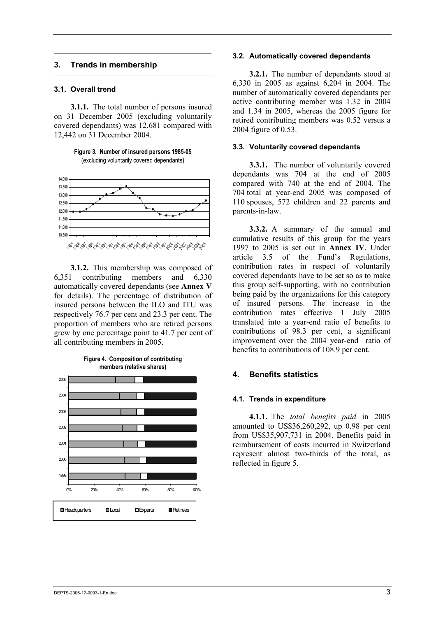## **3. Trends in membership**

#### **3.1. Overall trend**

**3.1.1.** The total number of persons insured on 31 December 2005 (excluding voluntarily covered dependants) was 12,681 compared with 12,442 on 31 December 2004.

**Figure 3. Number of insured persons 1985-05**  (excluding voluntarily covered dependants)



1985 1986 1987 1988 19891990 1991 1992 1993 1994 1995 1996 1997 1998 1999 2000 2001 2002 2003 20042005

**3.1.2.** This membership was composed of 6,351 contributing members and 6,330 automatically covered dependants (see **Annex V** for details). The percentage of distribution of insured persons between the ILO and ITU was respectively 76.7 per cent and 23.3 per cent. The proportion of members who are retired persons grew by one percentage point to 41.7 per cent of all contributing members in 2005.



**Figure 4. Composition of contributing members (relative shares)**

#### **3.2. Automatically covered dependants**

**3.2.1.** The number of dependants stood at 6,330 in 2005 as against 6,204 in 2004. The number of automatically covered dependants per active contributing member was 1.32 in 2004 and 1.34 in 2005, whereas the 2005 figure for retired contributing members was 0.52 versus a 2004 figure of 0.53.

#### **3.3. Voluntarily covered dependants**

**3.3.1.** The number of voluntarily covered dependants was 704 at the end of 2005 compared with 740 at the end of 2004. The 704 total at year-end 2005 was composed of 110 spouses, 572 children and 22 parents and parents-in-law.

**3.3.2.** A summary of the annual and cumulative results of this group for the years 1997 to 2005 is set out in **Annex IV**. Under article 3.5 of the Fund's Regulations, contribution rates in respect of voluntarily covered dependants have to be set so as to make this group self-supporting, with no contribution being paid by the organizations for this category of insured persons. The increase in the contribution rates effective 1 July 2005 translated into a year-end ratio of benefits to contributions of 98.3 per cent, a significant improvement over the 2004 year-end ratio of benefits to contributions of 108.9 per cent.

## **4. Benefits statistics**

#### **4.1. Trends in expenditure**

**4.1.1.** The *total benefits paid* in 2005 amounted to US\$36,260,292, up 0.98 per cent from US\$35,907,731 in 2004. Benefits paid in reimbursement of costs incurred in Switzerland represent almost two-thirds of the total, as reflected in figure 5.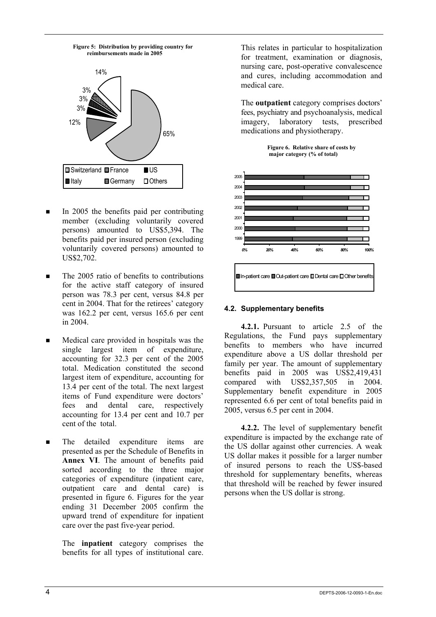

- In 2005 the benefits paid per contributing member (excluding voluntarily covered persons) amounted to US\$5,394. The benefits paid per insured person (excluding voluntarily covered persons) amounted to US\$2,702.
- $\blacksquare$  The 2005 ratio of benefits to contributions for the active staff category of insured person was 78.3 per cent, versus 84.8 per cent in 2004. That for the retirees' category was 162.2 per cent, versus 165.6 per cent in 2004.
- Medical care provided in hospitals was the single largest item of expenditure, accounting for 32.3 per cent of the 2005 total. Medication constituted the second largest item of expenditure, accounting for 13.4 per cent of the total. The next largest items of Fund expenditure were doctors' fees and dental care, respectively accounting for 13.4 per cent and 10.7 per cent of the total.
- **The detailed expenditure items are** presented as per the Schedule of Benefits in **Annex VI**. The amount of benefits paid sorted according to the three major categories of expenditure (inpatient care, outpatient care and dental care) is presented in figure 6. Figures for the year ending 31 December 2005 confirm the upward trend of expenditure for inpatient care over the past five-year period.

 The **inpatient** category comprises the benefits for all types of institutional care.

This relates in particular to hospitalization for treatment, examination or diagnosis, nursing care, post-operative convalescence and cures, including accommodation and medical care.

 The **outpatient** category comprises doctors' fees, psychiatry and psychoanalysis, medical imagery, laboratory tests, prescribed medications and physiotherapy.





## **4.2. Supplementary benefits**

**4.2.1.** Pursuant to article 2.5 of the Regulations, the Fund pays supplementary benefits to members who have incurred expenditure above a US dollar threshold per family per year. The amount of supplementary benefits paid in 2005 was US\$2,419,431 compared with US\$2,357,505 in  $2004$ Supplementary benefit expenditure in 2005 represented 6.6 per cent of total benefits paid in 2005, versus 6.5 per cent in 2004.

**4.2.2.** The level of supplementary benefit expenditure is impacted by the exchange rate of the US dollar against other currencies. A weak US dollar makes it possible for a larger number of insured persons to reach the US\$-based threshold for supplementary benefits, whereas that threshold will be reached by fewer insured persons when the US dollar is strong.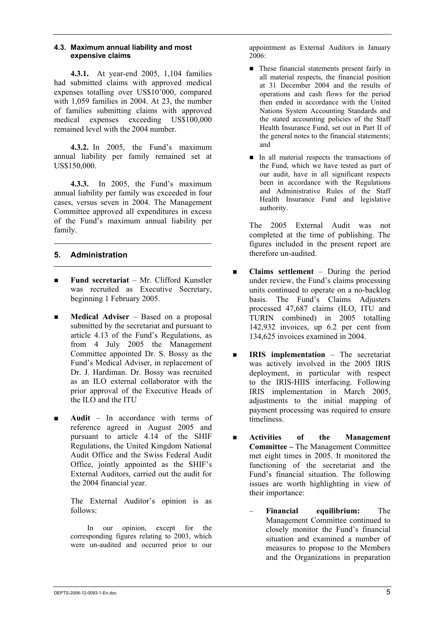## **4.3. Maximum annual liability and most expensive claims**

**4.3.1.** At year-end 2005, 1,104 families had submitted claims with approved medical expenses totalling over US\$10'000, compared with 1,059 families in 2004. At 23, the number of families submitting claims with approved medical expenses exceeding US\$100,000 remained level with the 2004 number.

**4.3.2.** In 2005, the Fund's maximum annual liability per family remained set at US\$150,000.

**4.3.3.** In 2005, the Fund's maximum annual liability per family was exceeded in four cases, versus seven in 2004. The Management Committee approved all expenditures in excess of the Fund's maximum annual liability per family.

# **5. Administration**

- **Fund secretariat** Mr. Clifford Kunstler was recruited as Executive Secretary, beginning 1 February 2005.
- **Medical Adviser** Based on a proposal submitted by the secretariat and pursuant to article 4.13 of the Fund's Regulations, as from 4 July 2005 the Management Committee appointed Dr. S. Bossy as the Fund's Medical Adviser, in replacement of Dr. J. Hardiman. Dr. Bossy was recruited as an ILO external collaborator with the prior approval of the Executive Heads of the ILO and the ITU
- **Audit** In accordance with terms of reference agreed in August 2005 and pursuant to article 4.14 of the SHIF Regulations, the United Kingdom National Audit Office and the Swiss Federal Audit Office, jointly appointed as the SHIF's External Auditors, carried out the audit for the 2004 financial year.

The External Auditor's opinion is as follows:

In our opinion, except for the corresponding figures relating to 2003, which were un-audited and occurred prior to our appointment as External Auditors in January 2006:

- **These financial statements present fairly in** all material respects, the financial position at 31 December 2004 and the results of operations and cash flows for the period then ended in accordance with the United Nations System Accounting Standards and the stated accounting policies of the Staff Health Insurance Fund, set out in Part II of the general notes to the financial statements; and
- In all material respects the transactions of the Fund, which we have tested as part of our audit, have in all significant respects been in accordance with the Regulations and Administrative Rules of the Staff Health Insurance Fund and legislative authority.

The 2005 External Audit was not completed at the time of publishing. The figures included in the present report are therefore un-audited.

- **Claims settlement** During the period under review, the Fund's claims processing units continued to operate on a no-backlog basis. The Fund's Claims Adjusters processed 47,687 claims (ILO, ITU and TURIN combined) in 2005 totalling 142,932 invoices, up 6.2 per cent from 134,625 invoices examined in 2004.
- **IRIS implementation** The secretariat was actively involved in the 2005 IRIS deployment, in particular with respect to the IRIS-HIIS interfacing. Following IRIS implementation in March 2005, adjustments to the initial mapping of payment processing was required to ensure timeliness.
- **Activities of the Management Committee –** The Management Committee met eight times in 2005. It monitored the functioning of the secretariat and the Fund's financial situation. The following issues are worth highlighting in view of their importance:
	- **Financial equilibrium:** The Management Committee continued to closely monitor the Fund's financial situation and examined a number of measures to propose to the Members and the Organizations in preparation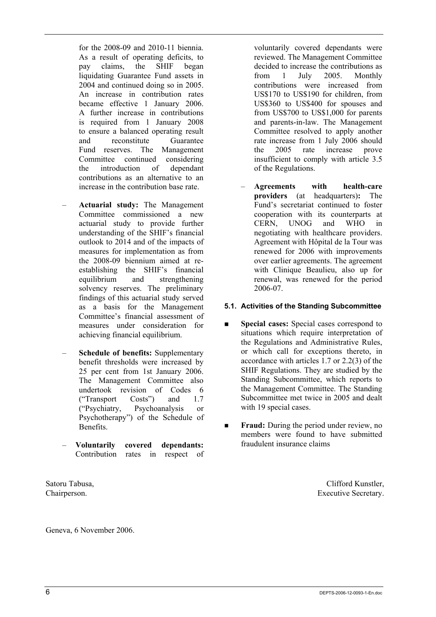for the 2008-09 and 2010-11 biennia. As a result of operating deficits, to pay claims, the SHIF began liquidating Guarantee Fund assets in 2004 and continued doing so in 2005. An increase in contribution rates became effective 1 January 2006. A further increase in contributions is required from 1 January 2008 to ensure a balanced operating result and reconstitute Guarantee Fund reserves. The Management Committee continued considering the introduction of dependant contributions as an alternative to an increase in the contribution base rate.

- **Actuarial study:** The Management Committee commissioned a new actuarial study to provide further understanding of the SHIF's financial outlook to 2014 and of the impacts of measures for implementation as from the 2008-09 biennium aimed at reestablishing the SHIF's financial equilibrium and strengthening solvency reserves. The preliminary findings of this actuarial study served as a basis for the Management Committee's financial assessment of measures under consideration for achieving financial equilibrium.
- **Schedule of benefits:** Supplementary benefit thresholds were increased by 25 per cent from 1st January 2006. The Management Committee also undertook revision of Codes 6<br>
("Transport Costs") and 17 ("Transport Costs") and 1.7 ("Psychiatry, Psychoanalysis or Psychotherapy") of the Schedule of Benefits.
- **Voluntarily covered dependants:** Contribution rates in respect of

Satoru Tabusa, Chairperson.

voluntarily covered dependants were reviewed. The Management Committee decided to increase the contributions as from 1 July 2005. Monthly contributions were increased from US\$170 to US\$190 for children, from US\$360 to US\$400 for spouses and from US\$700 to US\$1,000 for parents and parents-in-law. The Management Committee resolved to apply another rate increase from 1 July 2006 should the 2005 rate increase prove insufficient to comply with article 3.5 of the Regulations.

– **Agreements with health-care providers** (at headquarters)**:** The Fund's secretariat continued to foster cooperation with its counterparts at CERN, UNOG and WHO in negotiating with healthcare providers. Agreement with Hôpital de la Tour was renewed for 2006 with improvements over earlier agreements. The agreement with Clinique Beaulieu, also up for renewal, was renewed for the period 2006-07.

# **5.1. Activities of the Standing Subcommittee**

- **Special cases:** Special cases correspond to situations which require interpretation of the Regulations and Administrative Rules, or which call for exceptions thereto, in accordance with articles 1.7 or 2.2(3) of the SHIF Regulations. They are studied by the Standing Subcommittee, which reports to the Management Committee. The Standing Subcommittee met twice in 2005 and dealt with 19 special cases.
- **Fraud:** During the period under review, no members were found to have submitted fraudulent insurance claims

Clifford Kunstler, Executive Secretary.

Geneva, 6 November 2006.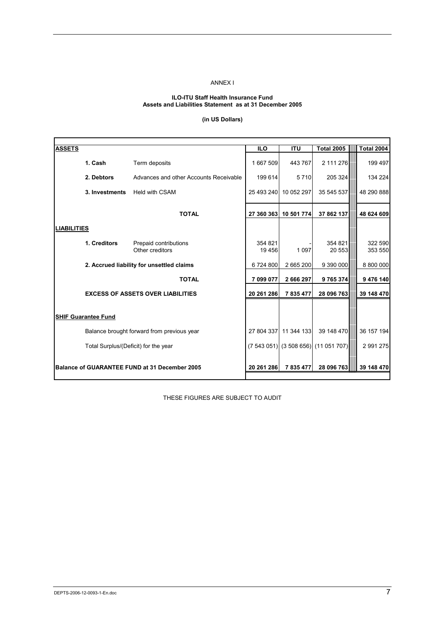#### ANNEX I

#### **ILO-ITU Staff Health Insurance Fund Assets and Liabilities Statement as at 31 December 2005**

## **(in US Dollars)**

| <b>ASSETS</b>      |                                      |                                               | <b>ILO</b> | <b>ITU</b>            | <b>Total 2005</b>                    | <b>Total 2004</b> |
|--------------------|--------------------------------------|-----------------------------------------------|------------|-----------------------|--------------------------------------|-------------------|
|                    | 1. Cash                              | Term deposits                                 | 1667509    | 443 767               | 2 111 276                            | 199 497           |
|                    | 2. Debtors                           | Advances and other Accounts Receivable        | 199 614    | 5710                  | 205 324                              | 134 224           |
|                    | 3. Investments                       | <b>Held with CSAM</b>                         |            | 25 493 240 10 052 297 | 35 545 537                           | 48 290 888        |
|                    |                                      | <b>TOTAL</b>                                  |            | 27 360 363 10 501 774 | 37 862 137                           | 48 624 609        |
| <b>LIABILITIES</b> |                                      |                                               |            |                       |                                      |                   |
|                    | 1. Creditors                         | Prepaid contributions                         | 354 821    |                       | 354 821                              | 322 590           |
|                    |                                      | Other creditors                               | 19 45 6    | 1 0 9 7               | 20 553                               | 353 550           |
|                    |                                      | 2. Accrued liability for unsettled claims     | 6724800    | 2 665 200             | 9 390 000                            | 8 800 000         |
|                    |                                      | <b>TOTAL</b>                                  | 7 099 077  | 2 666 297             | 9765374                              | 9 476 140         |
|                    |                                      | <b>EXCESS OF ASSETS OVER LIABILITIES</b>      | 20 261 286 | 7835477               | 28 096 763                           | 39 148 470        |
|                    |                                      |                                               |            |                       |                                      |                   |
|                    | <b>SHIF Guarantee Fund</b>           |                                               |            |                       |                                      |                   |
|                    |                                      | Balance brought forward from previous year    |            | 27 804 337 11 344 133 | 39 148 470                           | 36 157 194        |
|                    | Total Surplus/(Deficit) for the year |                                               |            |                       | (7 543 051) (3 508 656) (11 051 707) | 2 991 275         |
|                    |                                      | Balance of GUARANTEE FUND at 31 December 2005 | 20 261 286 | 7 835 477             | 28 096 763                           | 39 148 470        |

THESE FIGURES ARE SUBJECT TO AUDIT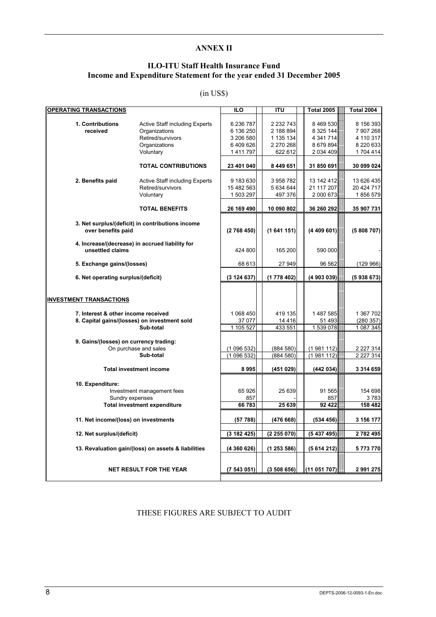## **ANNEX II**

# **ILO-ITU Staff Health Insurance Fund Income and Expenditure Statement for the year ended 31 December 2005**

## (in US\$)

| <b>OPERATING TRANSACTIONS</b>                                         |                                                                                                           | <b>ILO</b>                                                  | ITU                                                         | <b>Total 2005</b>                                                 | <b>Total 2004</b>                                            |
|-----------------------------------------------------------------------|-----------------------------------------------------------------------------------------------------------|-------------------------------------------------------------|-------------------------------------------------------------|-------------------------------------------------------------------|--------------------------------------------------------------|
| 1. Contributions<br>received                                          | <b>Active Staff including Experts</b><br>Organizations<br>Retired/survivors<br>Organizations<br>Voluntary | 6 236 787<br>6 136 250<br>3 206 580<br>6409626<br>1 411 797 | 2 232 743<br>2 188 894<br>1 135 134<br>2 270 268<br>622 612 | 8 469 530<br>8 3 25 144<br>4 341 714<br>8 679 894<br>2 0 34 4 0 9 | 8 156 393<br>7 907 268<br>4 110 317<br>8 220 633<br>1704 414 |
|                                                                       | <b>TOTAL CONTRIBUTIONS</b>                                                                                | 23 401 040                                                  | 8 449 651                                                   | 31 850 691                                                        | 30 099 024                                                   |
| 2. Benefits paid                                                      | <b>Active Staff including Experts</b><br>Retired/survivors<br>Voluntary                                   | 9 183 630<br>15 482 563<br>1 503 297                        | 3958782<br>5 634 644<br>497 376                             | 13 142 412<br>21 117 207<br>2 000 673                             | 13 626 435<br>20 424 717<br>1856 579                         |
|                                                                       | <b>TOTAL BENEFITS</b>                                                                                     | 26 169 490                                                  | 10 090 802                                                  | 36 260 292                                                        | 35 907 731                                                   |
| over benefits paid                                                    | 3. Net surplus/(deficit) in contributions income                                                          | (2768450)                                                   | (1641151)                                                   | (4409601)                                                         | (5808707)                                                    |
| unsettled claims                                                      | 4. Increase/(decrease) in accrued liability for                                                           | 424 800                                                     | 165 200                                                     | 590 000                                                           |                                                              |
| 5. Exchange gains/(losses)                                            |                                                                                                           | 68 613                                                      | 27 949                                                      | 96 562                                                            | (129966)                                                     |
| 6. Net operating surplus/(deficit)                                    |                                                                                                           | (3124637)                                                   | (1778 402)                                                  | (4 903 039)                                                       | (5938673)                                                    |
| <b>INVESTMENT TRANSACTIONS</b><br>7. Interest & other income received |                                                                                                           | 1 068 450                                                   | 419 135                                                     | 1 487 585                                                         | 1 367 702                                                    |
|                                                                       | 8. Capital gains/(losses) on investment sold                                                              | 37 077                                                      | 14 4 16                                                     | 51 493                                                            | (280 357)                                                    |
|                                                                       | Sub-total                                                                                                 | 1 105 527                                                   | 433 551                                                     | 1 539 078                                                         | 1 087 345                                                    |
| 9. Gains/(losses) on currency trading:                                | On purchase and sales<br>Sub-total                                                                        | (1096532)<br>(1096532)                                      | (884580)<br>(884 580)                                       | (1981112)<br>(1981112)                                            | 2 227 314<br>2 2 2 7 3 1 4                                   |
|                                                                       | <b>Total investment income</b>                                                                            | 8995                                                        | (451029)                                                    | (442034)                                                          | 3 314 659                                                    |
| 10. Expenditure:<br>Sundry expenses                                   | Investment management fees                                                                                | 65 926<br>857                                               | 25 639                                                      | 91 565<br>857                                                     | 154 698<br>3 783                                             |
|                                                                       | <b>Total investment expenditure</b>                                                                       | 66 783                                                      | 25 639                                                      | 92 422                                                            | 158 482                                                      |
| 11. Net income/(loss) on investments                                  |                                                                                                           | (57 788)                                                    | (476668)                                                    | (534 456)                                                         | 3 156 177                                                    |
| 12. Net surplus/(deficit)                                             |                                                                                                           | (3182425)                                                   | (2255070)                                                   | (5437495)                                                         | 2782495                                                      |
|                                                                       | 13. Revaluation gain/(loss) on assets & liabilities                                                       | (4 360 626)                                                 | (1253586)                                                   | (5614212)                                                         | 5773770                                                      |
|                                                                       | <b>NET RESULT FOR THE YEAR</b>                                                                            | (7543051)                                                   | (3508656)                                                   | (11051707)                                                        | 2 991 275                                                    |

THESE FIGURES ARE SUBJECT TO AUDIT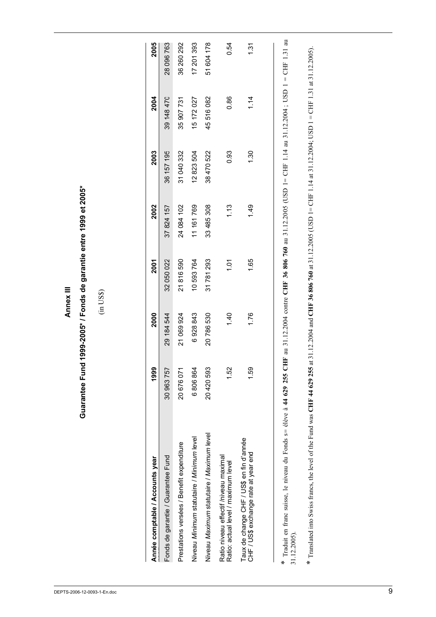| C |  |
|---|--|
|   |  |
|   |  |
|   |  |
| ٠ |  |

# Guarantee Fund 1999-2005\* / Fonds de garantie entre 1999 et 2005\* **Guarantee Fund 1999-2005\* / Fonds de garantie entre 1999 et 2005\***

(in US\$)

| Année comptable / Accounts year                                                                                                                                                               | 1999       | 2000           | 2001       | 2002           | 2003       | 2004       | 2005                 |
|-----------------------------------------------------------------------------------------------------------------------------------------------------------------------------------------------|------------|----------------|------------|----------------|------------|------------|----------------------|
| Fonds de garantie / Guarantee Fund                                                                                                                                                            | 30 963 757 | 29 184 544     | 32 050 022 | 37 824 157     | 36 157 195 | 39 148 470 | 28 096 763           |
| Prestations versées / Benefit expenditure                                                                                                                                                     | 20 676 071 | 21 069 924     | 21816590   | 24 084 102     | 31 040 332 | 35 907 731 | 36 260 292           |
| Niveau Minimum statutaire / Minimum level                                                                                                                                                     | 6806864    | 6928843        | 10593764   | 11 161 769     | 12823504   | 15 172 027 | 17 201 393           |
| Niveau Maximum statutaire / Maximum level                                                                                                                                                     | 20420593   | 20786530       | 31781293   | 33 485 308     | 38470522   | 45516082   | 51 604 178           |
| Ratio niveau effectif /niveau maximal<br>Ratio: actual level / maximum level                                                                                                                  | 1.52       | $\frac{40}{1}$ | ëί         | 1.13           | 0.93       | 0.86       | 0.54                 |
| Taux de change CHF / US\$ en fin d'année<br>CHF / US\$ exchange rate at year end                                                                                                              | 1.59       | 1.76           | 1.65       | $\frac{49}{1}$ | 1.30       | 1.14       | $\tilde{\mathbb{S}}$ |
|                                                                                                                                                                                               |            |                |            |                |            |            |                      |
| * Traduit en franc suisse, le niveau du Fonds s= élève à 44 629 255 CHF au 31.12.2004 contre CHF 36 806 760 au 31.12.2005 (USD 1= CHF 1.14 au 31.12.2004; USD 1 = CHF 1.31 au<br>31.12.2005). |            |                |            |                |            |            |                      |

\* Translated into Swiss francs, the level of the Fund was CHF 44 629 255 at 31.12.2004 and CHF 36 806 760 at 31.12.2005 (USD 1= CHF 1.14 at 31.12.2004; USD 1 = CHF 1.31 at 31.12.2005). \* Translated into Swiss francs, the level of the Fund was **CHF 44 629 255** at 31.12.2004 and **CHF 36 806 760** at 31.12.2005 (USD 1= CHF 1.14 at 31.12.2004; USD 1 = CHF 1.31 at 31.12.2005).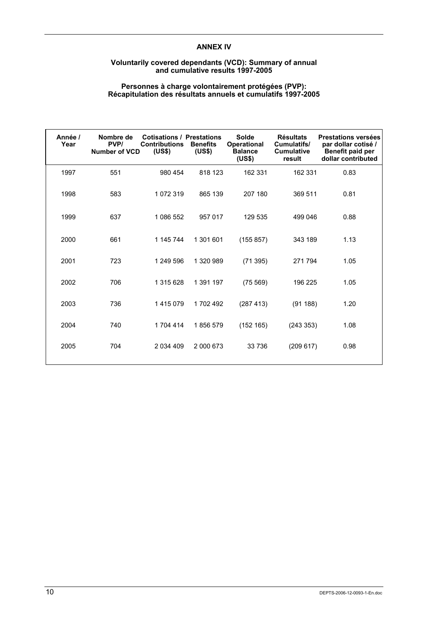## **ANNEX IV**

#### **Voluntarily covered dependants (VCD): Summary of annual and cumulative results 1997-2005**

#### **Personnes à charge volontairement protégées (PVP): Récapitulation des résultats annuels et cumulatifs 1997-2005**

| Année /<br>Year | Nombre de<br>PVP/<br><b>Number of VCD</b> | <b>Cotisations / Prestations</b><br><b>Contributions</b><br>(US\$) | <b>Benefits</b><br>(US\$) | Solde<br><b>Operational</b><br><b>Balance</b><br>(US\$) | <b>Résultats</b><br>Cumulatifs/<br><b>Cumulative</b><br>result | <b>Prestations versées</b><br>par dollar cotisé /<br>Benefit paid per<br>dollar contributed |
|-----------------|-------------------------------------------|--------------------------------------------------------------------|---------------------------|---------------------------------------------------------|----------------------------------------------------------------|---------------------------------------------------------------------------------------------|
| 1997            | 551                                       | 980 454                                                            | 818 123                   | 162 331                                                 | 162 331                                                        | 0.83                                                                                        |
| 1998            | 583                                       | 1 072 319                                                          | 865 139                   | 207 180                                                 | 369 511                                                        | 0.81                                                                                        |
| 1999            | 637                                       | 1 086 552                                                          | 957 017                   | 129 535                                                 | 499 046                                                        | 0.88                                                                                        |
| 2000            | 661                                       | 1 145 744                                                          | 1 301 601                 | (155 857)                                               | 343 189                                                        | 1.13                                                                                        |
| 2001            | 723                                       | 1 249 596                                                          | 1 320 989                 | (71395)                                                 | 271 794                                                        | 1.05                                                                                        |
| 2002            | 706                                       | 1 315 628                                                          | 1 391 197                 | (75 569)                                                | 196 225                                                        | 1.05                                                                                        |
| 2003            | 736                                       | 1415079                                                            | 1702492                   | (287 413)                                               | (91188)                                                        | 1.20                                                                                        |
| 2004            | 740                                       | 1 704 414                                                          | 1856579                   | (152 165)                                               | (243 353)                                                      | 1.08                                                                                        |
| 2005            | 704                                       | 2 0 34 4 0 9                                                       | 2 000 673                 | 33 736                                                  | (209617)                                                       | 0.98                                                                                        |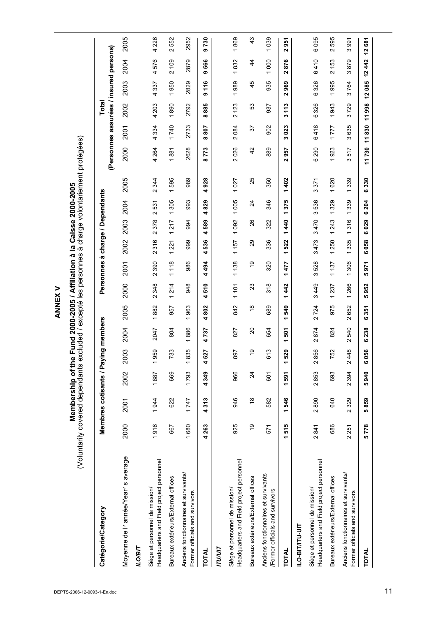| Catégorie/Category                                                         |       | Membres cotisants / Paying members |                 |                                 |                                 |                                 |                                 | Personnes à charge / Dependants |                                 |                                           |                                    |                                 | (Personnes assurées / insured persons) |                       | Total                           |                                 |                                 |                             |
|----------------------------------------------------------------------------|-------|------------------------------------|-----------------|---------------------------------|---------------------------------|---------------------------------|---------------------------------|---------------------------------|---------------------------------|-------------------------------------------|------------------------------------|---------------------------------|----------------------------------------|-----------------------|---------------------------------|---------------------------------|---------------------------------|-----------------------------|
| Moyenne de l'année/Year's average<br><b>ILO/BIT</b>                        | 2000  | 2001                               | 2002            | 2003                            | 2004                            | 2005                            | 2000                            | <b>2001</b>                     | 2002                            | 2003                                      | 2004                               | 2005                            | 2000                                   | 2001                  | 2002                            | 2003                            | 2004                            | 2005                        |
| Headquarters and Field project personnel<br>Siège et personnel de mission/ | 1916  | 1944                               | 1887            | 959<br>$\overline{ }$           | 2047                            | 1882                            | 348<br>$\sim$                   | 390<br>$\sim$                   | 316<br>$\sim$                   | 378<br>$\mathbf{\Omega}$                  | 531<br>$\sim$                      | 344<br>$\sim$                   | 4 2 6 4                                | 334<br>4              | 4 203                           | 337<br>4                        | 4576                            | 4 2 2 6                     |
| Bureaux extérieurs/External offices                                        | 667   | 622                                | 669             | 733                             | 804                             | 957                             | 214<br>$\overline{\phantom{0}}$ | 1118                            | 221<br>$\overline{\phantom{0}}$ | 217<br>$\overline{\phantom{0}}$           | 305<br>$\overline{ }$              | 595<br>$\overline{\phantom{0}}$ | 1881                                   | 1740                  | 1890                            | 950<br>$\overline{\phantom{0}}$ | 2109                            | 552<br>$\sim$               |
| Anciens fonctionnaires et survivants/<br>Former officials and survivors    | 1680  | 1747                               | 1793            | 835<br>$\overline{\phantom{0}}$ | 886<br>$\overline{\phantom{0}}$ | 963<br>$\overline{\phantom{0}}$ | 948                             | 986                             | 999                             | 994                                       | 993                                | 989                             | 2628                                   | 2733                  | 2792                            | 2829                            | 2879                            | 2952                        |
| TOTAL                                                                      | 4263  | 4313                               | 4349            | 527<br>4                        | 737<br>4                        | 802<br>4                        | 510<br>4                        | 494<br>4                        | 536<br>4                        | 589<br>4                                  | 829<br>4                           | 928<br>4                        | 773<br>$\infty$                        | 208<br>ထ              | 885<br>ထ                        | 116<br>თ                        | 566<br>თ                        | 9730                        |
| <b>ITU/UIT</b>                                                             |       |                                    |                 |                                 |                                 |                                 |                                 |                                 |                                 |                                           |                                    |                                 |                                        |                       |                                 |                                 |                                 |                             |
| Headquarters and Field project personnel<br>Siège et personnel de mission/ | 925   | 946                                | 966             | 897                             | 827                             | 842                             | 1101                            | 1138                            | 1157                            | 1092                                      | 1005                               | 1027                            | 2026                                   | 2084                  | 2123                            | 1989                            | 1832                            | 1869                        |
| Bureaux extérieurs/External offices                                        | é     | $\overset{\infty}{\rightarrow}$    | $\overline{24}$ | 6)                              | $\Omega$                        | $\frac{8}{3}$                   | 23                              | $\frac{1}{2}$                   | 29                              | 26                                        | $\overline{c}$                     | 25                              | 42                                     | 57                    | ္မ                              | 45                              | 4                               | 43                          |
| Anciens fonctionnaires et survivants<br>/Former officials and survivors    | 571   | 582                                | 601             | 613                             | 654                             | 689                             | $\frac{8}{3}$                   | 320                             | 336                             | 322                                       | 346                                | 350                             | 889                                    | 902                   | 937                             | 935                             | 1000                            | 1039                        |
| TOTAL                                                                      | 1515  | 1546                               | 1591            | 529<br>٣                        | 501<br>$\overline{ }$           | 549<br>$\overline{ }$           | 442<br>$\overline{\phantom{0}}$ | 477<br>$\overline{ }$           | 522<br>$\overline{\phantom{0}}$ | $\frac{4}{3}$<br>$\overline{\phantom{0}}$ | ю<br>2<br>$\overline{\phantom{0}}$ | 402<br>$\overline{\phantom{0}}$ | 957<br>$\mathbf{\tilde{z}}$            | 023<br>w              | 113<br>w                        | 969<br>Z                        | ဖ<br>55<br>$\mathbf{\tilde{z}}$ | 951<br>$\mathbf{\tilde{z}}$ |
| <b>ILO-BIT/ITU-UIT</b>                                                     |       |                                    |                 |                                 |                                 |                                 |                                 |                                 |                                 |                                           |                                    |                                 |                                        |                       |                                 |                                 |                                 |                             |
| Headquarters and Field project personnel<br>Siège et personnel de mission/ | 2841  | 2890                               | 2853            | 856<br>$\sim$                   | 874<br>$\sim$                   | 2724                            | 449<br>S                        | 528<br>ო                        | 473<br>S                        | 470<br>S                                  | 536<br>က                           | 371<br>S                        | 6290                                   | 418<br>ဖ              | 6326                            | 326<br>ဖ                        | 6410                            | 6095                        |
| Bureaux extérieurs/External offices                                        | 686   | 640                                | 693             | 752                             | 824                             | 975                             | 237<br>$\overline{\phantom{0}}$ | 1137                            | 250<br>$\overline{ }$           | 243<br>$\overline{ }$                     | 329<br>$\overline{\phantom{0}}$    | 620<br>$\overline{\phantom{0}}$ | 923<br>$\overline{\phantom{0}}$        | 777<br>$\overline{ }$ | 943<br>$\overline{\phantom{0}}$ | 995<br>$\overline{\phantom{0}}$ | 2153                            | 595<br>$\sim$               |
| Anciens fonctionnaires et survivants/<br>Former officials and survivors    | 2 251 | 2329                               | 2 394           | 448<br>$\boldsymbol{\sim}$      | 540<br>$\sim$                   | 652<br>$\sim$                   | 266<br>$\overline{\phantom{0}}$ | 306<br>$\overline{ }$           | 335<br>$\overline{\phantom{0}}$ | 316<br>$\overline{\phantom{0}}$           | 339<br>$\overline{\phantom{0}}$    | 339<br>$\overline{\phantom{0}}$ | 517<br>ω                               | 635<br>ω              | 729<br>ო                        | 764<br>ო                        | 879<br>ო                        | 3991                        |
| <b>TOTAL</b>                                                               | 5778  | 5859                               | 940<br>မာ       | 056<br>ဖ                        | 238<br>ဖ                        | 351<br>ဖ                        | 952<br>မာ                       | 971<br>မာ                       | 058<br>ဖ                        | 029<br>ဖ                                  | 204<br>ဖ                           | 330<br>ဖ                        | 11730                                  | 830<br>$\overline{t}$ | 11998                           | 085<br>5                        | 442<br>57                       | 12681                       |